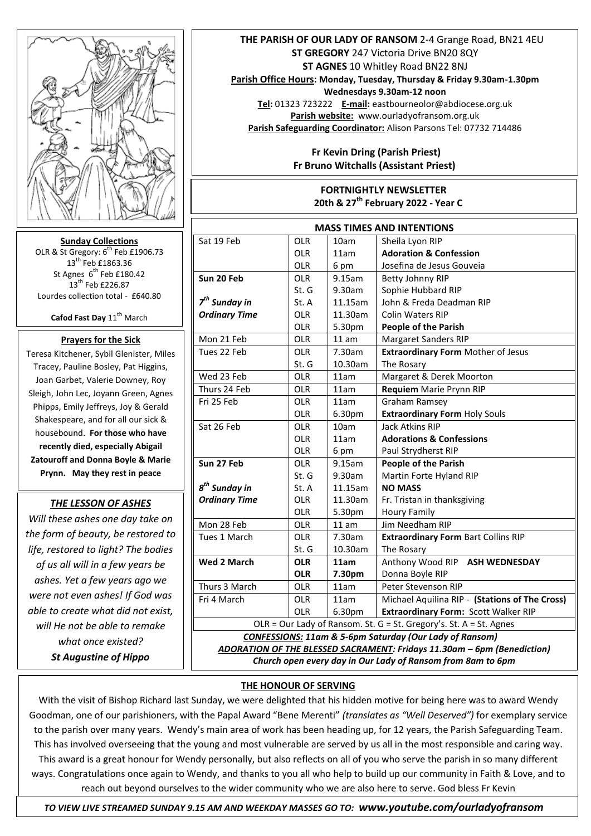

**Sunday Collections** OLR & St Gregory:  $6^{th}$  Feb £1906.73 13<sup>th</sup> Feb £1863.36 St Agnes 6<sup>th</sup> Feb £180.42  $13^{th}$  Feb £226.87 Lourdes collection total - £640.80

**Cafod Fast Day 11<sup>th</sup> March** 

# **Prayers for the Sick**

Teresa Kitchener, Sybil Glenister, Miles Tracey, Pauline Bosley, Pat Higgins, Joan Garbet, Valerie Downey, Roy Sleigh, John Lec, Joyann Green, Agnes Phipps, Emily Jeffreys, Joy & Gerald Shakespeare, and for all our sick & housebound. **For those who have recently died, especially Abigail Zatouroff and Donna Boyle & Marie Prynn. May they rest in peace** 

#### *THE LESSON OF ASHES*

*Will these ashes one day take on the form of beauty, be restored to life, restored to light? The bodies of us all will in a few years be ashes. Yet a few years ago we were not even ashes! If God was able to create what did not exist, will He not be able to remake what once existed? St Augustine of Hippo* 

### **THE PARISH OF OUR LADY OF RANSOM** 2-4 Grange Road, BN21 4EU **ST GREGORY** 247 Victoria Drive BN20 8QY **ST AGNES** 10 Whitley Road BN22 8NJ

**Parish Office Hours: Monday, Tuesday, Thursday & Friday 9.30am-1.30pm** 

**Wednesdays 9.30am-12 noon**

**Tel:** 01323 723222 **E-mail:** eastbourneolor@abdiocese.org.uk **Parish website:** [www.ourladyofransom.org.uk](http://www.ourladyofransom.org.uk/) **Parish Safeguarding Coordinator:** Alison Parsons Tel: 07732 714486

## **Fr Kevin Dring (Parish Priest) Fr Bruno Witchalls (Assistant Priest)**

### **FORTNIGHTLY NEWSLETTER 20th & 27th February 2022 - Year C**

| <b>MASS TIMES AND INTENTIONS</b>                                        |            |         |                                                |
|-------------------------------------------------------------------------|------------|---------|------------------------------------------------|
| Sat 19 Feb                                                              | <b>OLR</b> | 10am    | Sheila Lyon RIP                                |
|                                                                         | <b>OLR</b> | 11am    | <b>Adoration &amp; Confession</b>              |
|                                                                         | OLR        | 6 pm    | Josefina de Jesus Gouveia                      |
| Sun 20 Feb                                                              | <b>OLR</b> | 9.15am  | Betty Johnny RIP                               |
|                                                                         | St. G      | 9.30am  | Sophie Hubbard RIP                             |
| $7th$ Sunday in                                                         | St. A      | 11.15am | John & Freda Deadman RIP                       |
| <b>Ordinary Time</b>                                                    | <b>OLR</b> | 11.30am | <b>Colin Waters RIP</b>                        |
|                                                                         | <b>OLR</b> | 5.30pm  | <b>People of the Parish</b>                    |
| Mon 21 Feb                                                              | <b>OLR</b> | 11 am   | <b>Margaret Sanders RIP</b>                    |
| Tues 22 Feb                                                             | <b>OLR</b> | 7.30am  | <b>Extraordinary Form Mother of Jesus</b>      |
|                                                                         | St. G      | 10.30am | The Rosary                                     |
| Wed 23 Feb                                                              | <b>OLR</b> | 11am    | Margaret & Derek Moorton                       |
| Thurs 24 Feb                                                            | <b>OLR</b> | 11am    | Requiem Marie Prynn RIP                        |
| Fri 25 Feb                                                              | <b>OLR</b> | 11am    | <b>Graham Ramsey</b>                           |
|                                                                         | OLR        | 6.30pm  | <b>Extraordinary Form Holy Souls</b>           |
| Sat 26 Feb                                                              | <b>OLR</b> | 10am    | <b>Jack Atkins RIP</b>                         |
|                                                                         | <b>OLR</b> | 11am    | <b>Adorations &amp; Confessions</b>            |
|                                                                         | <b>OLR</b> | 6 pm    | Paul Strydherst RIP                            |
| Sun 27 Feb                                                              | <b>OLR</b> | 9.15am  | <b>People of the Parish</b>                    |
|                                                                         | St. G      | 9.30am  | Martin Forte Hyland RIP                        |
| 8 <sup>th</sup> Sunday in                                               | St. A      | 11.15am | <b>NO MASS</b>                                 |
| <b>Ordinary Time</b>                                                    | <b>OLR</b> | 11.30am | Fr. Tristan in thanksgiving                    |
|                                                                         | <b>OLR</b> | 5.30pm  | <b>Houry Family</b>                            |
| Mon 28 Feb                                                              | <b>OLR</b> | 11 am   | Jim Needham RIP                                |
| Tues 1 March                                                            | <b>OLR</b> | 7.30am  | <b>Extraordinary Form Bart Collins RIP</b>     |
|                                                                         | St. G      | 10.30am | The Rosary                                     |
| <b>Wed 2 March</b>                                                      | <b>OLR</b> | 11am    | Anthony Wood RIP<br><b>ASH WEDNESDAY</b>       |
|                                                                         | <b>OLR</b> | 7.30pm  | Donna Boyle RIP                                |
| Thurs 3 March                                                           | OLR        | 11am    | Peter Stevenson RIP                            |
| Fri 4 March                                                             | <b>OLR</b> | 11am    | Michael Aquilina RIP - (Stations of The Cross) |
|                                                                         | <b>OLR</b> | 6.30pm  | Extraordinary Form: Scott Walker RIP           |
| OLR = Our Lady of Ransom. St. G = St. Gregory's. St. A = St. Agnes      |            |         |                                                |
| <b>CONFESSIONS: 11am &amp; 5-6pm Saturday (Our Lady of Ransom)</b>      |            |         |                                                |
| ADORATION OF THE BLESSED SACRAMENT: Fridays 11.30am - 6pm (Benediction) |            |         |                                                |
| Church open every day in Our Lady of Ransom from 8am to 6pm             |            |         |                                                |

#### **THE HONOUR OF SERVING**

With the visit of Bishop Richard last Sunday, we were delighted that his hidden motive for being here was to award Wendy Goodman, one of our parishioners, with the Papal Award "Bene Merenti" *(translates as "Well Deserved")* for exemplary service to the parish over many years. Wendy's main area of work has been heading up, for 12 years, the Parish Safeguarding Team. This has involved overseeing that the young and most vulnerable are served by us all in the most responsible and caring way. This award is a great honour for Wendy personally, but also reflects on all of you who serve the parish in so many different ways. Congratulations once again to Wendy, and thanks to you all who help to build up our community in Faith & Love, and to reach out beyond ourselves to the wider community who we are also here to serve. God bless Fr Kevin

 *TO VIEW LIVE STREAMED SUNDAY 9.15 AM AND WEEKDAY MASSES GO TO: www.youtube.com/ourladyofransom*